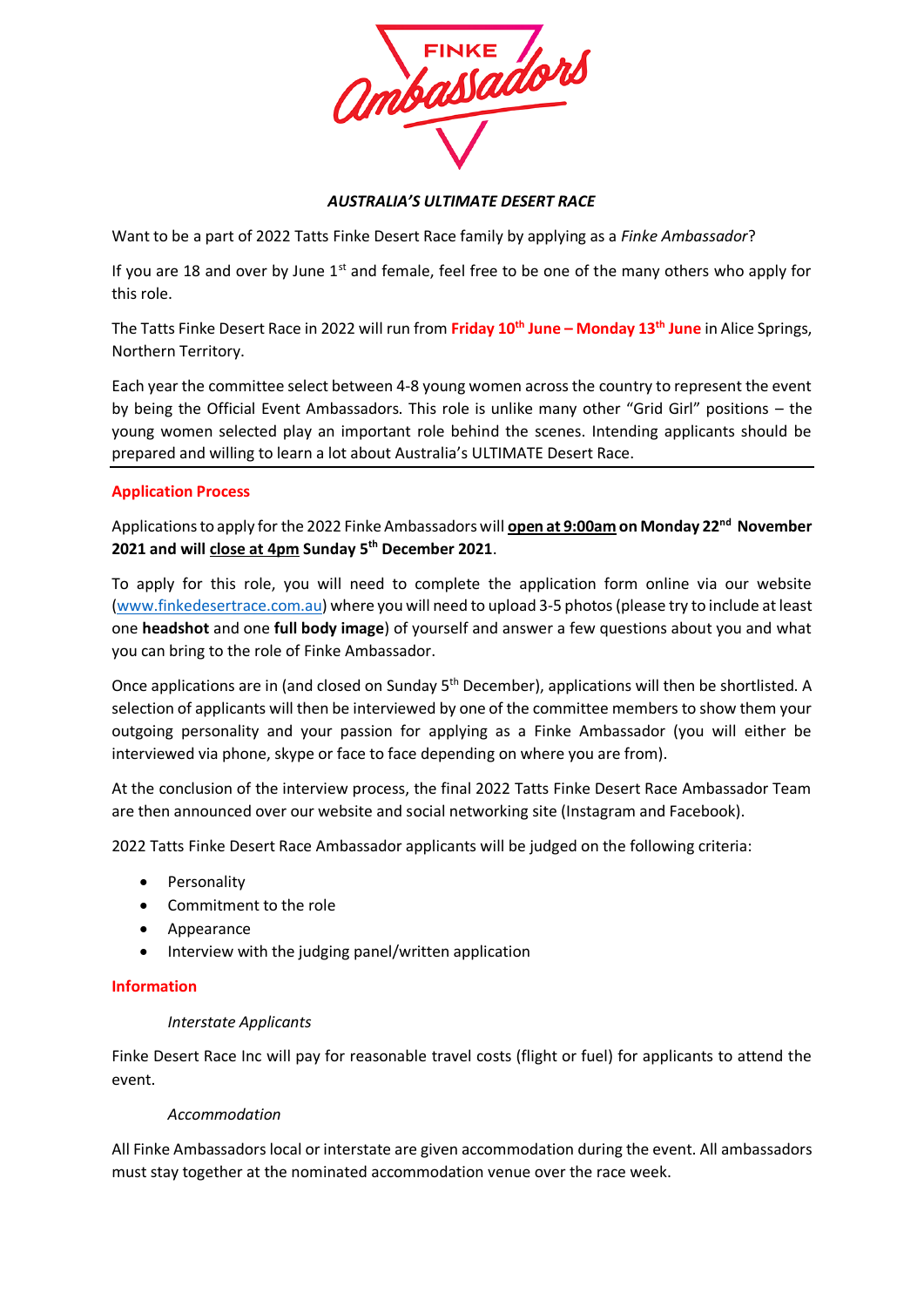

## *AUSTRALIA'S ULTIMATE DESERT RACE*

Want to be a part of 2022 Tatts Finke Desert Race family by applying as a *Finke Ambassador*?

If you are 18 and over by June  $1<sup>st</sup>$  and female, feel free to be one of the many others who apply for this role.

The Tatts Finke Desert Race in 2022 will run from **Friday 10th June – Monday 13th June** in Alice Springs, Northern Territory.

Each year the committee select between 4-8 young women across the country to represent the event by being the Official Event Ambassadors. This role is unlike many other "Grid Girl" positions – the young women selected play an important role behind the scenes. Intending applicants should be prepared and willing to learn a lot about Australia's ULTIMATE Desert Race.

## **Application Process**

Applications to apply for the 2022 Finke Ambassadors will **open at 9:00am on Monday 22nd November 2021 and will close at 4pm Sunday 5 th December 2021**.

To apply for this role, you will need to complete the application form online via our website [\(www.finkedesertrace.com.au\)](http://www.finkedesertrace.com.au/) where you will need to upload 3-5 photos (please try to include at least one **headshot** and one **full body image**) of yourself and answer a few questions about you and what you can bring to the role of Finke Ambassador.

Once applications are in (and closed on Sunday 5<sup>th</sup> December), applications will then be shortlisted. A selection of applicants will then be interviewed by one of the committee members to show them your outgoing personality and your passion for applying as a Finke Ambassador (you will either be interviewed via phone, skype or face to face depending on where you are from).

At the conclusion of the interview process, the final 2022 Tatts Finke Desert Race Ambassador Team are then announced over our website and social networking site (Instagram and Facebook).

2022 Tatts Finke Desert Race Ambassador applicants will be judged on the following criteria:

- Personality
- Commitment to the role
- Appearance
- Interview with the judging panel/written application

### **Information**

### *Interstate Applicants*

Finke Desert Race Inc will pay for reasonable travel costs (flight or fuel) for applicants to attend the event.

### *Accommodation*

All Finke Ambassadors local or interstate are given accommodation during the event. All ambassadors must stay together at the nominated accommodation venue over the race week.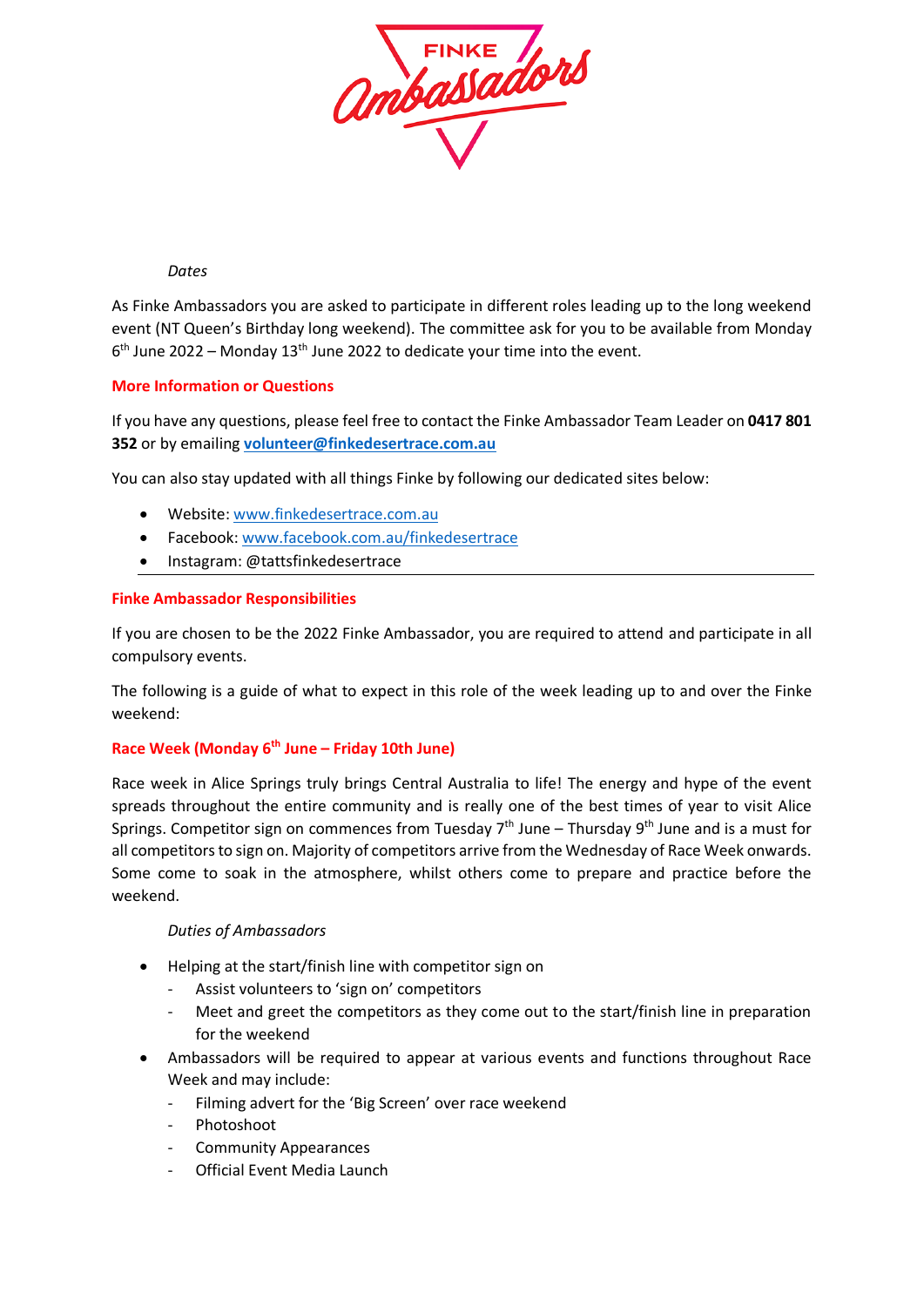

*Dates*

As Finke Ambassadors you are asked to participate in different roles leading up to the long weekend event (NT Queen's Birthday long weekend). The committee ask for you to be available from Monday  $6<sup>th</sup>$  June 2022 – Monday 13<sup>th</sup> June 2022 to dedicate your time into the event.

## **More Information or Questions**

If you have any questions, please feel free to contact the Finke Ambassador Team Leader on **0417 801 352** or by emailing **[volunteer@finkedesertrace.com.au](mailto:volunteer@finkedesertrace.com.au)**

You can also stay updated with all things Finke by following our dedicated sites below:

- Website: [www.finkedesertrace.com.au](http://www.finkedesertrace.com.au/)
- Facebook: [www.facebook.com.au/finkedesertrace](http://www.facebook.com.au/finkedesertrace)
- Instagram: @tattsfinkedesertrace

#### **Finke Ambassador Responsibilities**

If you are chosen to be the 2022 Finke Ambassador, you are required to attend and participate in all compulsory events.

The following is a guide of what to expect in this role of the week leading up to and over the Finke weekend:

## **Race Week (Monday 6th June – Friday 10th June)**

Race week in Alice Springs truly brings Central Australia to life! The energy and hype of the event spreads throughout the entire community and is really one of the best times of year to visit Alice Springs. Competitor sign on commences from Tuesday  $7<sup>th</sup>$  June – Thursday  $9<sup>th</sup>$  June and is a must for all competitors to sign on. Majority of competitors arrive from the Wednesday of Race Week onwards. Some come to soak in the atmosphere, whilst others come to prepare and practice before the weekend.

### *Duties of Ambassadors*

- Helping at the start/finish line with competitor sign on
	- Assist volunteers to 'sign on' competitors
	- Meet and greet the competitors as they come out to the start/finish line in preparation for the weekend
- Ambassadors will be required to appear at various events and functions throughout Race Week and may include:
	- Filming advert for the 'Big Screen' over race weekend
	- Photoshoot
	- Community Appearances
	- Official Event Media Launch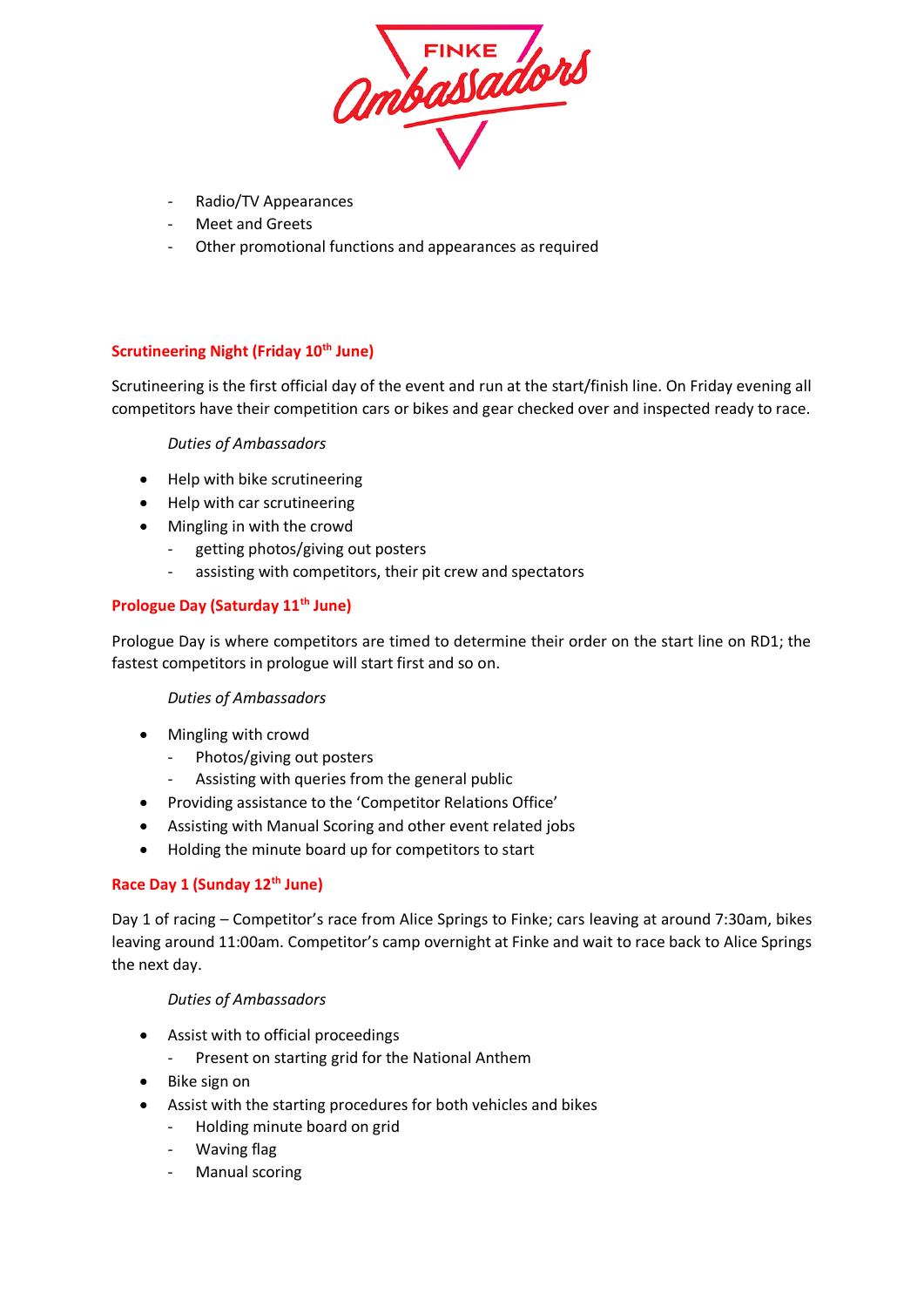

- Radio/TV Appearances
- Meet and Greets
- Other promotional functions and appearances as required

# **Scrutineering Night (Friday 10th June)**

Scrutineering is the first official day of the event and run at the start/finish line. On Friday evening all competitors have their competition cars or bikes and gear checked over and inspected ready to race.

## *Duties of Ambassadors*

- Help with bike scrutineering
- Help with car scrutineering
- Mingling in with the crowd
	- getting photos/giving out posters
	- assisting with competitors, their pit crew and spectators

## **Prologue Day (Saturday 11th June)**

Prologue Day is where competitors are timed to determine their order on the start line on RD1; the fastest competitors in prologue will start first and so on.

### *Duties of Ambassadors*

- Mingling with crowd
	- Photos/giving out posters
	- Assisting with queries from the general public
- Providing assistance to the 'Competitor Relations Office'
- Assisting with Manual Scoring and other event related jobs
- Holding the minute board up for competitors to start

## **Race Day 1 (Sunday 12th June)**

Day 1 of racing – Competitor's race from Alice Springs to Finke; cars leaving at around 7:30am, bikes leaving around 11:00am. Competitor's camp overnight at Finke and wait to race back to Alice Springs the next day.

### *Duties of Ambassadors*

- Assist with to official proceedings
	- Present on starting grid for the National Anthem
- Bike sign on
- Assist with the starting procedures for both vehicles and bikes
	- Holding minute board on grid
	- Waving flag
	- Manual scoring